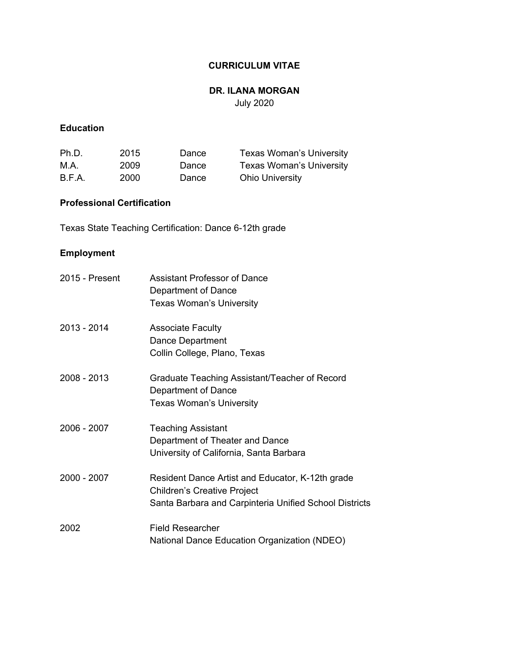# **CURRICULUM VITAE**

# **DR. ILANA MORGAN**

July 2020

# **Education**

| Ph.D.  | 2015 | Dance | Texas Woman's University |
|--------|------|-------|--------------------------|
| M.A.   | 2009 | Dance | Texas Woman's University |
| B.F.A. | 2000 | Dance | <b>Ohio University</b>   |

# **Professional Certification**

Texas State Teaching Certification: Dance 6-12th grade

# **Employment**

| 2015 - Present | Assistant Professor of Dance<br>Department of Dance<br>Texas Woman's University                                                                  |
|----------------|--------------------------------------------------------------------------------------------------------------------------------------------------|
| 2013 - 2014    | <b>Associate Faculty</b><br>Dance Department<br>Collin College, Plano, Texas                                                                     |
| 2008 - 2013    | Graduate Teaching Assistant/Teacher of Record<br>Department of Dance<br><b>Texas Woman's University</b>                                          |
| $2006 - 2007$  | <b>Teaching Assistant</b><br>Department of Theater and Dance<br>University of California, Santa Barbara                                          |
| $2000 - 2007$  | Resident Dance Artist and Educator, K-12th grade<br><b>Children's Creative Project</b><br>Santa Barbara and Carpinteria Unified School Districts |
| 2002           | <b>Field Researcher</b><br>National Dance Education Organization (NDEO)                                                                          |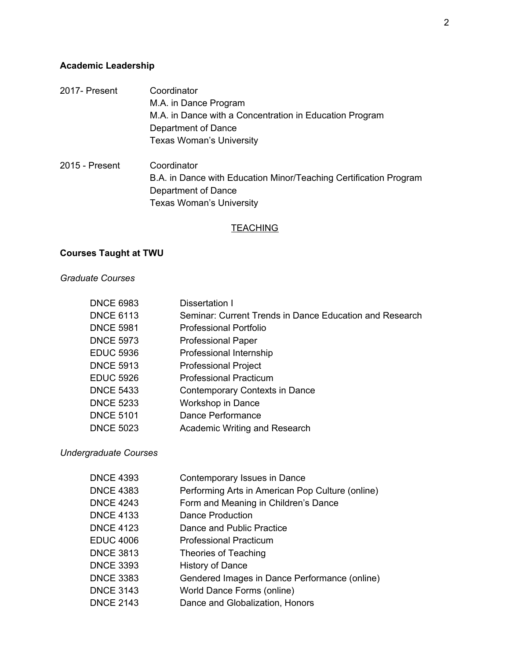# **Academic Leadership**

- 2017- Present Coordinator M.A. in Dance Program M.A. in Dance with a Concentration in Education Program Department of Dance Texas Woman's University 2015 - Present Coordinator
- B.A. in Dance with Education Minor/Teaching Certification Program Department of Dance Texas Woman's University

# **TEACHING**

# **Courses Taught at TWU**

#### *Graduate Courses*

| <b>DNCE 6983</b> | Dissertation I                                          |
|------------------|---------------------------------------------------------|
| <b>DNCE 6113</b> | Seminar: Current Trends in Dance Education and Research |
| <b>DNCE 5981</b> | <b>Professional Portfolio</b>                           |
| <b>DNCE 5973</b> | <b>Professional Paper</b>                               |
| <b>EDUC 5936</b> | Professional Internship                                 |
| <b>DNCE 5913</b> | <b>Professional Project</b>                             |
| <b>EDUC 5926</b> | <b>Professional Practicum</b>                           |
| <b>DNCE 5433</b> | Contemporary Contexts in Dance                          |
| <b>DNCE 5233</b> | Workshop in Dance                                       |
| <b>DNCE 5101</b> | Dance Performance                                       |
| <b>DNCE 5023</b> | Academic Writing and Research                           |

*Undergraduate Courses*

| <b>DNCE 4393</b> | Contemporary Issues in Dance                     |
|------------------|--------------------------------------------------|
| <b>DNCE 4383</b> | Performing Arts in American Pop Culture (online) |
| <b>DNCE 4243</b> | Form and Meaning in Children's Dance             |
| <b>DNCE 4133</b> | Dance Production                                 |
| <b>DNCE 4123</b> | Dance and Public Practice                        |
| <b>EDUC 4006</b> | <b>Professional Practicum</b>                    |
| <b>DNCE 3813</b> | Theories of Teaching                             |
| <b>DNCE 3393</b> | <b>History of Dance</b>                          |
| <b>DNCE 3383</b> | Gendered Images in Dance Performance (online)    |
| <b>DNCE 3143</b> | World Dance Forms (online)                       |
| <b>DNCE 2143</b> | Dance and Globalization, Honors                  |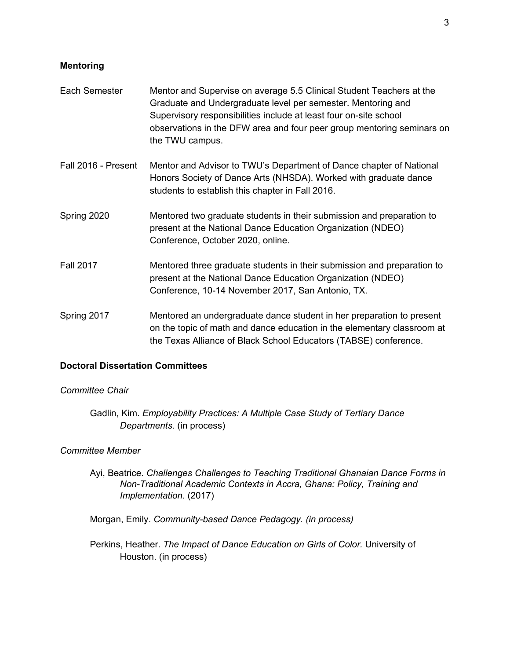#### **Mentoring**

- Each Semester Mentor and Supervise on average 5.5 Clinical Student Teachers at the Graduate and Undergraduate level per semester. Mentoring and Supervisory responsibilities include at least four on-site school observations in the DFW area and four peer group mentoring seminars on the TWU campus.
- Fall 2016 Present Mentor and Advisor to TWU's Department of Dance chapter of National Honors Society of Dance Arts (NHSDA). Worked with graduate dance students to establish this chapter in Fall 2016.
- Spring 2020 Mentored two graduate students in their submission and preparation to present at the National Dance Education Organization (NDEO) Conference, October 2020, online.
- Fall 2017 Mentored three graduate students in their submission and preparation to present at the National Dance Education Organization (NDEO) Conference, 10-14 November 2017, San Antonio, TX.
- Spring 2017 Mentored an undergraduate dance student in her preparation to present on the topic of math and dance education in the elementary classroom at the Texas Alliance of Black School Educators (TABSE) conference.

#### **Doctoral Dissertation Committees**

### *Committee Chair*

Gadlin, Kim. *Employability Practices: A Multiple Case Study of Tertiary Dance Departments*. (in process)

#### *Committee Member*

Ayi, Beatrice. *Challenges Challenges to Teaching Traditional Ghanaian Dance Forms in Non-Traditional Academic Contexts in Accra, Ghana: Policy, Training and Implementation.* (2017)

Morgan, Emily. *Community-based Dance Pedagogy. (in process)*

Perkins, Heather. *The Impact of Dance Education on Girls of Color.* University of Houston. (in process)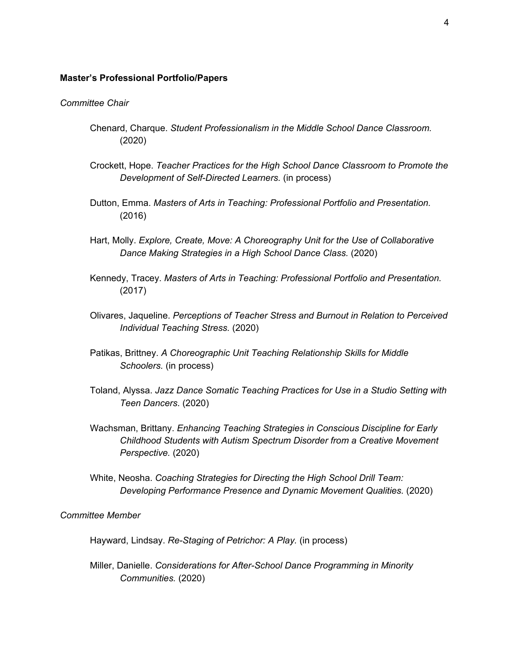#### **Master's Professional Portfolio/Papers**

#### *Committee Chair*

- Chenard, Charque. *Student Professionalism in the Middle School Dance Classroom.* (2020)
- Crockett, Hope. *Teacher Practices for the High School Dance Classroom to Promote the Development of Self-Directed Learners.* (in process)
- Dutton, Emma. *Masters of Arts in Teaching: Professional Portfolio and Presentation.* (2016)
- Hart, Molly. *Explore, Create, Move: A Choreography Unit for the Use of Collaborative Dance Making Strategies in a High School Dance Class.* (2020)
- Kennedy, Tracey. *Masters of Arts in Teaching: Professional Portfolio and Presentation.* (2017)
- Olivares, Jaqueline. *Perceptions of Teacher Stress and Burnout in Relation to Perceived Individual Teaching Stress.* (2020)
- Patikas, Brittney. *A Choreographic Unit Teaching Relationship Skills for Middle Schoolers.* (in process)
- Toland, Alyssa. *Jazz Dance Somatic Teaching Practices for Use in a Studio Setting with Teen Dancers*. (2020)
- Wachsman, Brittany. *Enhancing Teaching Strategies in Conscious Discipline for Early Childhood Students with Autism Spectrum Disorder from a Creative Movement Perspective.* (2020)
- White, Neosha. *Coaching Strategies for Directing the High School Drill Team: Developing Performance Presence and Dynamic Movement Qualities.* (2020)

#### *Committee Member*

Hayward, Lindsay. *Re-Staging of Petrichor: A Play.* (in process)

Miller, Danielle. *Considerations for After-School Dance Programming in Minority Communities.* (2020)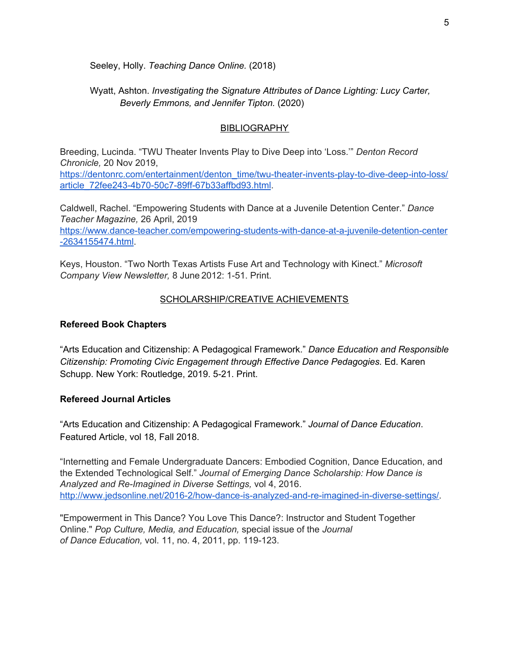Seeley, Holly. *Teaching Dance Online.* (2018)

Wyatt, Ashton. *Investigating the Signature Attributes of Dance Lighting: Lucy Carter, Beverly Emmons, and Jennifer Tipton.* (2020)

# **BIBLIOGRAPHY**

Breeding, Lucinda. "TWU Theater Invents Play to Dive Deep into 'Loss.'" *Denton Record Chronicle,* 20 Nov 2019,

[https://dentonrc.com/entertainment/denton\\_time/twu-theater-invents-play-to-dive-deep-into-loss/](https://dentonrc.com/entertainment/denton_time/twu-theater-invents-play-to-dive-deep-into-loss/article_72fee243-4b70-50c7-89ff-67b33affbd93.html) [article\\_72fee243-4b70-50c7-89ff-67b33affbd93.html.](https://dentonrc.com/entertainment/denton_time/twu-theater-invents-play-to-dive-deep-into-loss/article_72fee243-4b70-50c7-89ff-67b33affbd93.html)

Caldwell, Rachel. "Empowering Students with Dance at a Juvenile Detention Center." *Dance Teacher Magazine,* 26 April, 2019

[https://www.dance-teacher.com/empowering-students-with-dance-at-a-juvenile-detention-center](https://www.dance-teacher.com/empowering-students-with-dance-at-a-juvenile-detention-center-2634155474.html) [-2634155474.html](https://www.dance-teacher.com/empowering-students-with-dance-at-a-juvenile-detention-center-2634155474.html).

Keys, Houston. "Two North Texas Artists Fuse Art and Technology with Kinect." *Microsoft Company View Newsletter,* 8 June 2012: 1-51. Print.

# SCHOLARSHIP/CREATIVE ACHIEVEMENTS

### **Refereed Book Chapters**

"Arts Education and Citizenship: A Pedagogical Framework." *Dance Education and Responsible Citizenship: Promoting Civic Engagement through Effective Dance Pedagogies.* Ed. Karen Schupp. New York: Routledge, 2019. 5-21. Print.

# **Refereed Journal Articles**

"Arts Education and Citizenship: A Pedagogical Framework." *Journal of Dance Education*. Featured Article, vol 18, Fall 2018.

"Internetting and Female Undergraduate Dancers: Embodied Cognition, Dance Education, and the Extended Technological Self." *Journal of Emerging Dance Scholarship: How Dance is Analyzed and Re-Imagined in Diverse Settings,* vol 4, 2016. <http://www.jedsonline.net/2016-2/how-dance-is-analyzed-and-re-imagined-in-diverse-settings/>.

"Empowerment in This Dance? You Love This Dance?: Instructor and Student Together Online." *Pop Culture, Media, and Education,* special issue of the *Journal of Dance Education,* vol. 11, no. 4, 2011, pp. 119-123.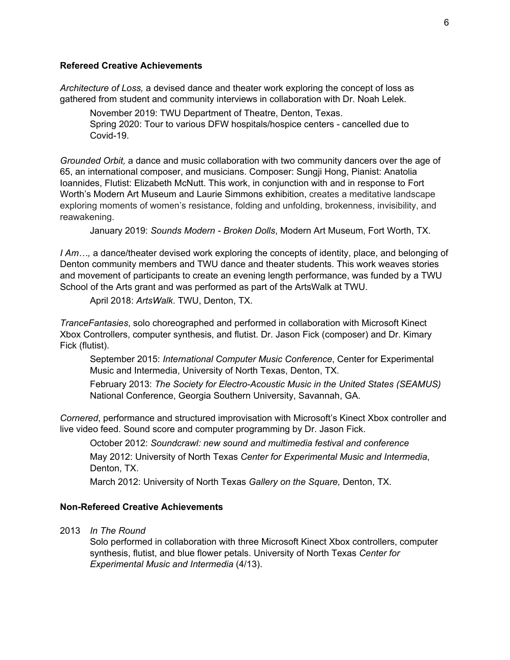# **Refereed Creative Achievements**

*Architecture of Loss,* a devised dance and theater work exploring the concept of loss as gathered from student and community interviews in collaboration with Dr. Noah Lelek.

November 2019: TWU Department of Theatre, Denton, Texas. Spring 2020: Tour to various DFW hospitals/hospice centers - cancelled due to Covid-19.

*Grounded Orbit,* a dance and music collaboration with two community dancers over the age of 65, an international composer, and musicians. Composer: Sungji Hong, Pianist: Anatolia Ioannides, Flutist: Elizabeth McNutt. This work, in conjunction with and in response to Fort Worth's Modern Art Museum and Laurie Simmons exhibition, creates a meditative landscape exploring moments of women's resistance, folding and unfolding, brokenness, invisibility, and reawakening.

January 2019: *Sounds Modern - Broken Dolls*, Modern Art Museum, Fort Worth, TX.

*I Am…,* a dance/theater devised work exploring the concepts of identity, place, and belonging of Denton community members and TWU dance and theater students. This work weaves stories and movement of participants to create an evening length performance, was funded by a TWU School of the Arts grant and was performed as part of the ArtsWalk at TWU.

April 2018: *ArtsWalk*. TWU, Denton, TX.

*TranceFantasies*, solo choreographed and performed in collaboration with Microsoft Kinect Xbox Controllers, computer synthesis, and flutist. Dr. Jason Fick (composer) and Dr. Kimary Fick (flutist).

September 2015: *International Computer Music Conference*, Center for Experimental Music and Intermedia, University of North Texas, Denton, TX.

February 2013: *The Society for Electro-Acoustic Music in the United States (SEAMUS)* National Conference, Georgia Southern University, Savannah, GA.

*Cornered*, performance and structured improvisation with Microsoft's Kinect Xbox controller and live video feed. Sound score and computer programming by Dr. Jason Fick.

October 2012: *Soundcrawl: new sound and multimedia festival and conference*

May 2012: University of North Texas *Center for Experimental Music and Intermedia*, Denton, TX.

March 2012: University of North Texas *Gallery on the Square,* Denton, TX.

#### **Non-Refereed Creative Achievements**

2013 *In The Round*

Solo performed in collaboration with three Microsoft Kinect Xbox controllers, computer synthesis, flutist, and blue flower petals. University of North Texas *Center for Experimental Music and Intermedia* (4/13).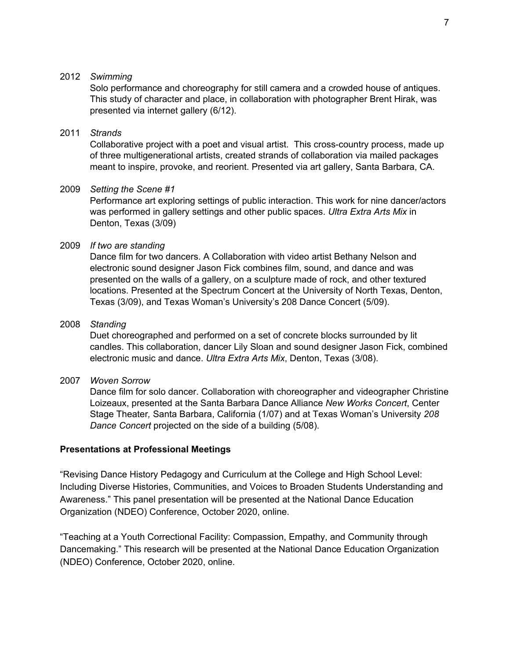## 2012 *Swimming*

Solo performance and choreography for still camera and a crowded house of antiques. This study of character and place, in collaboration with photographer Brent Hirak, was presented via internet gallery (6/12).

## 2011 *Strands*

Collaborative project with a poet and visual artist. This cross-country process, made up of three multigenerational artists, created strands of collaboration via mailed packages meant to inspire, provoke, and reorient. Presented via art gallery, Santa Barbara, CA.

### 2009 *Setting the Scene #1*

Performance art exploring settings of public interaction. This work for nine dancer/actors was performed in gallery settings and other public spaces. *Ultra Extra Arts Mix* in Denton, Texas (3/09)

# 2009 *If two are standing*

Dance film for two dancers. A Collaboration with video artist Bethany Nelson and electronic sound designer Jason Fick combines film, sound, and dance and was presented on the walls of a gallery, on a sculpture made of rock, and other textured locations. Presented at the Spectrum Concert at the University of North Texas, Denton, Texas (3/09), and Texas Woman's University's 208 Dance Concert (5/09).

### 2008 *Standing*

Duet choreographed and performed on a set of concrete blocks surrounded by lit candles. This collaboration, dancer Lily Sloan and sound designer Jason Fick, combined electronic music and dance. *Ultra Extra Arts Mix*, Denton, Texas (3/08).

2007 *Woven Sorrow*

Dance film for solo dancer. Collaboration with choreographer and videographer Christine Loizeaux, presented at the Santa Barbara Dance Alliance *New Works Concert*, Center Stage Theater*,* Santa Barbara, California (1/07) and at Texas Woman's University *208 Dance Concert* projected on the side of a building (5/08).

# **Presentations at Professional Meetings**

"Revising Dance History Pedagogy and Curriculum at the College and High School Level: Including Diverse Histories, Communities, and Voices to Broaden Students Understanding and Awareness." This panel presentation will be presented at the National Dance Education Organization (NDEO) Conference, October 2020, online.

"Teaching at a Youth Correctional Facility: Compassion, Empathy, and Community through Dancemaking." This research will be presented at the National Dance Education Organization (NDEO) Conference, October 2020, online.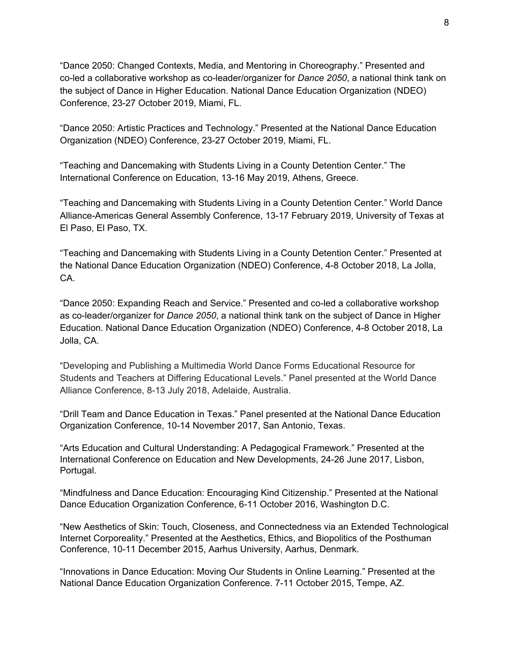"Dance 2050: Changed Contexts, Media, and Mentoring in Choreography." Presented and co-led a collaborative workshop as co-leader/organizer for *Dance 2050*, a national think tank on the subject of Dance in Higher Education. National Dance Education Organization (NDEO) Conference, 23-27 October 2019, Miami, FL.

"Dance 2050: Artistic Practices and Technology." Presented at the National Dance Education Organization (NDEO) Conference, 23-27 October 2019, Miami, FL.

"Teaching and Dancemaking with Students Living in a County Detention Center." The International Conference on Education, 13-16 May 2019, Athens, Greece.

"Teaching and Dancemaking with Students Living in a County Detention Center." World Dance Alliance-Americas General Assembly Conference, 13-17 February 2019, University of Texas at El Paso, El Paso, TX.

"Teaching and Dancemaking with Students Living in a County Detention Center." Presented at the National Dance Education Organization (NDEO) Conference, 4-8 October 2018, La Jolla, CA.

"Dance 2050: Expanding Reach and Service." Presented and co-led a collaborative workshop as co-leader/organizer for *Dance 2050*, a national think tank on the subject of Dance in Higher Education. National Dance Education Organization (NDEO) Conference, 4-8 October 2018, La Jolla, CA.

"Developing and Publishing a Multimedia World Dance Forms Educational Resource for Students and Teachers at Differing Educational Levels." Panel presented at the World Dance Alliance Conference, 8-13 July 2018, Adelaide, Australia.

"Drill Team and Dance Education in Texas." Panel presented at the National Dance Education Organization Conference, 10-14 November 2017, San Antonio, Texas.

"Arts Education and Cultural Understanding: A Pedagogical Framework." Presented at the International Conference on Education and New Developments, 24-26 June 2017, Lisbon, Portugal.

"Mindfulness and Dance Education: Encouraging Kind Citizenship." Presented at the National Dance Education Organization Conference, 6-11 October 2016, Washington D.C.

"New Aesthetics of Skin: Touch, Closeness, and Connectedness via an Extended Technological Internet Corporeality." Presented at the Aesthetics, Ethics, and Biopolitics of the Posthuman Conference, 10-11 December 2015, Aarhus University, Aarhus, Denmark.

"Innovations in Dance Education: Moving Our Students in Online Learning." Presented at the National Dance Education Organization Conference. 7-11 October 2015, Tempe, AZ.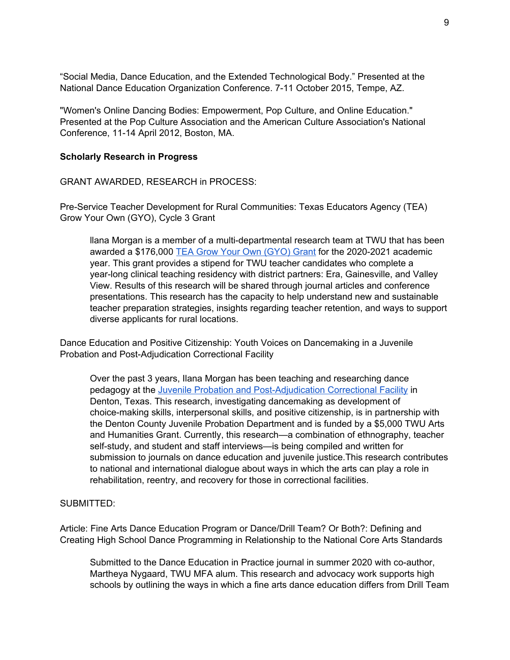"Social Media, Dance Education, and the Extended Technological Body." Presented at the National Dance Education Organization Conference. 7-11 October 2015, Tempe, AZ.

"Women's Online Dancing Bodies: Empowerment, Pop Culture, and Online Education." Presented at the Pop Culture Association and the American Culture Association's National Conference, 11-14 April 2012, Boston, MA.

#### **Scholarly Research in Progress**

GRANT AWARDED, RESEARCH in PROCESS:

Pre-Service Teacher Development for Rural Communities: Texas Educators Agency (TEA) Grow Your Own (GYO), Cycle 3 Grant

llana Morgan is a member of a multi-departmental research team at TWU that has been awarded a \$176,000 TEA Grow Your Own [\(GYO\)](https://tea.texas.gov/texas-educators/educator-initiatives-and-performance/grow-your-own) Grant for the 2020-2021 academic year. This grant provides a stipend for TWU teacher candidates who complete a year-long clinical teaching residency with district partners: Era, Gainesville, and Valley View. Results of this research will be shared through journal articles and conference presentations. This research has the capacity to help understand new and sustainable teacher preparation strategies, insights regarding teacher retention, and ways to support diverse applicants for rural locations.

Dance Education and Positive Citizenship: Youth Voices on Dancemaking in a Juvenile Probation and Post-Adjudication Correctional Facility

Over the past 3 years, Ilana Morgan has been teaching and researching dance pedagogy at the Juvenile Probation and [Post-Adjudication](https://dentoncounty.gov/Departments/Probation/Juvenile-Probation/Juvenile-Detention) Correctional Facili[ty](https://dentoncounty.gov/Departments/Probation/Juvenile-Probation/Juvenile-Detention) in Denton, Texas. This research, investigating dancemaking as development of choice-making skills, interpersonal skills, and positive citizenship, is in partnership with the Denton County Juvenile Probation Department and is funded by a \$5,000 TWU Arts and Humanities Grant. Currently, this research—a combination of ethnography, teacher self-study, and student and staff interviews—is being compiled and written for submission to journals on dance education and juvenile justice.This research contributes to national and international dialogue about ways in which the arts can play a role in rehabilitation, reentry, and recovery for those in correctional facilities.

#### SUBMITTED:

Article: Fine Arts Dance Education Program or Dance/Drill Team? Or Both?: Defining and Creating High School Dance Programming in Relationship to the National Core Arts Standards

Submitted to the Dance Education in Practice journal in summer 2020 with co-author, Martheya Nygaard, TWU MFA alum. This research and advocacy work supports high schools by outlining the ways in which a fine arts dance education differs from Drill Team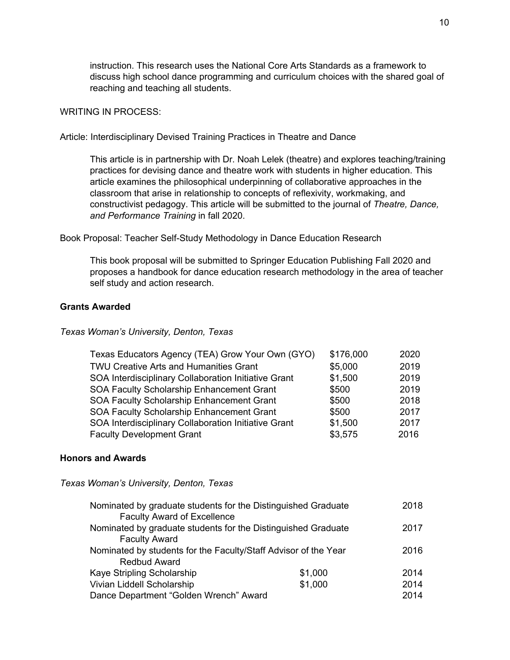instruction. This research uses the National Core Arts Standards as a framework to discuss high school dance programming and curriculum choices with the shared goal of reaching and teaching all students.

### WRITING IN PROCESS:

Article: Interdisciplinary Devised Training Practices in Theatre and Dance

This article is in partnership with Dr. Noah Lelek (theatre) and explores teaching/training practices for devising dance and theatre work with students in higher education. This article examines the philosophical underpinning of collaborative approaches in the classroom that arise in relationship to concepts of reflexivity, workmaking, and constructivist pedagogy. This article will be submitted to the journal of *Theatre, Dance, and Performance Training* in fall 2020.

Book Proposal: Teacher Self-Study Methodology in Dance Education Research

This book proposal will be submitted to Springer Education Publishing Fall 2020 and proposes a handbook for dance education research methodology in the area of teacher self study and action research.

#### **Grants Awarded**

#### *Texas Woman's University, Denton, Texas*

| Texas Educators Agency (TEA) Grow Your Own (GYO)     | \$176,000 | 2020 |
|------------------------------------------------------|-----------|------|
| TWU Creative Arts and Humanities Grant               | \$5,000   | 2019 |
| SOA Interdisciplinary Collaboration Initiative Grant | \$1,500   | 2019 |
| SOA Faculty Scholarship Enhancement Grant            | \$500     | 2019 |
| SOA Faculty Scholarship Enhancement Grant            | \$500     | 2018 |
| SOA Faculty Scholarship Enhancement Grant            | \$500     | 2017 |
| SOA Interdisciplinary Collaboration Initiative Grant | \$1,500   | 2017 |
| <b>Faculty Development Grant</b>                     | \$3,575   | 2016 |

#### **Honors and Awards**

*Texas Woman's University, Denton, Texas*

| Nominated by graduate students for the Distinguished Graduate   |         | 2018 |
|-----------------------------------------------------------------|---------|------|
| <b>Faculty Award of Excellence</b>                              |         |      |
| Nominated by graduate students for the Distinguished Graduate   |         | 2017 |
| <b>Faculty Award</b>                                            |         |      |
| Nominated by students for the Faculty/Staff Advisor of the Year |         | 2016 |
| <b>Redbud Award</b>                                             |         |      |
| Kaye Stripling Scholarship                                      | \$1,000 | 2014 |
| Vivian Liddell Scholarship                                      | \$1,000 | 2014 |
| Dance Department "Golden Wrench" Award                          |         | 2014 |
|                                                                 |         |      |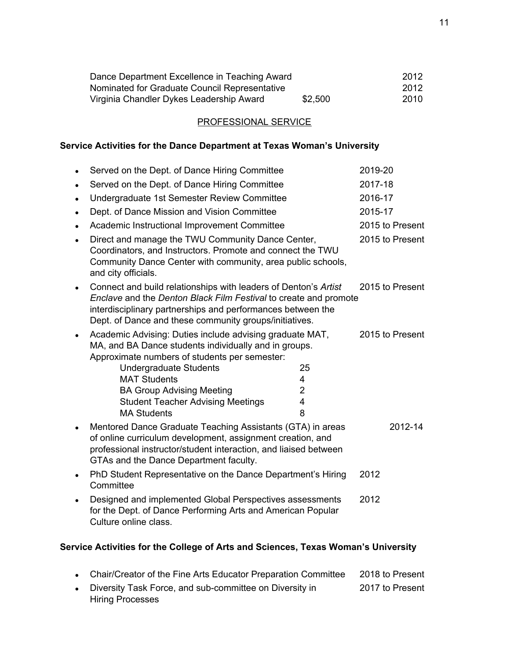| Dance Department Excellence in Teaching Award |         | 2012 |
|-----------------------------------------------|---------|------|
| Nominated for Graduate Council Representative |         | 2012 |
| Virginia Chandler Dykes Leadership Award      | \$2,500 | 2010 |

# PROFESSIONAL SERVICE

# **Service Activities for the Dance Department at Texas Woman's University**

|           | Served on the Dept. of Dance Hiring Committee                                                                                                                                                                                                                                                                                    |                                     | 2019-20 |                 |
|-----------|----------------------------------------------------------------------------------------------------------------------------------------------------------------------------------------------------------------------------------------------------------------------------------------------------------------------------------|-------------------------------------|---------|-----------------|
| $\bullet$ | Served on the Dept. of Dance Hiring Committee                                                                                                                                                                                                                                                                                    |                                     | 2017-18 |                 |
| $\bullet$ | Undergraduate 1st Semester Review Committee                                                                                                                                                                                                                                                                                      |                                     | 2016-17 |                 |
| $\bullet$ | Dept. of Dance Mission and Vision Committee                                                                                                                                                                                                                                                                                      |                                     | 2015-17 |                 |
| $\bullet$ | Academic Instructional Improvement Committee                                                                                                                                                                                                                                                                                     |                                     |         | 2015 to Present |
| $\bullet$ | Direct and manage the TWU Community Dance Center,<br>Coordinators, and Instructors. Promote and connect the TWU<br>Community Dance Center with community, area public schools,<br>and city officials.                                                                                                                            |                                     |         | 2015 to Present |
| $\bullet$ | Connect and build relationships with leaders of Denton's Artist<br>Enclave and the Denton Black Film Festival to create and promote<br>interdisciplinary partnerships and performances between the<br>Dept. of Dance and these community groups/initiatives.                                                                     |                                     |         | 2015 to Present |
|           | Academic Advising: Duties include advising graduate MAT,<br>MA, and BA Dance students individually and in groups.<br>Approximate numbers of students per semester:<br><b>Undergraduate Students</b><br><b>MAT Students</b><br><b>BA Group Advising Meeting</b><br><b>Student Teacher Advising Meetings</b><br><b>MA Students</b> | 25<br>4<br>$\overline{2}$<br>4<br>8 |         | 2015 to Present |
| $\bullet$ | Mentored Dance Graduate Teaching Assistants (GTA) in areas<br>of online curriculum development, assignment creation, and<br>professional instructor/student interaction, and liaised between<br>GTAs and the Dance Department faculty.                                                                                           |                                     |         | 2012-14         |
| $\bullet$ | PhD Student Representative on the Dance Department's Hiring<br>Committee                                                                                                                                                                                                                                                         |                                     | 2012    |                 |
| $\bullet$ | Designed and implemented Global Perspectives assessments<br>for the Dept. of Dance Performing Arts and American Popular<br>Culture online class.                                                                                                                                                                                 |                                     | 2012    |                 |
|           |                                                                                                                                                                                                                                                                                                                                  |                                     |         |                 |

# **Service Activities for the College of Arts and Sciences, Texas Woman's University**

| • Chair/Creator of the Fine Arts Educator Preparation Committee | 2018 to Present |
|-----------------------------------------------------------------|-----------------|
| Diversity Task Force, and sub-committee on Diversity in         | 2017 to Present |
| <b>Hiring Processes</b>                                         |                 |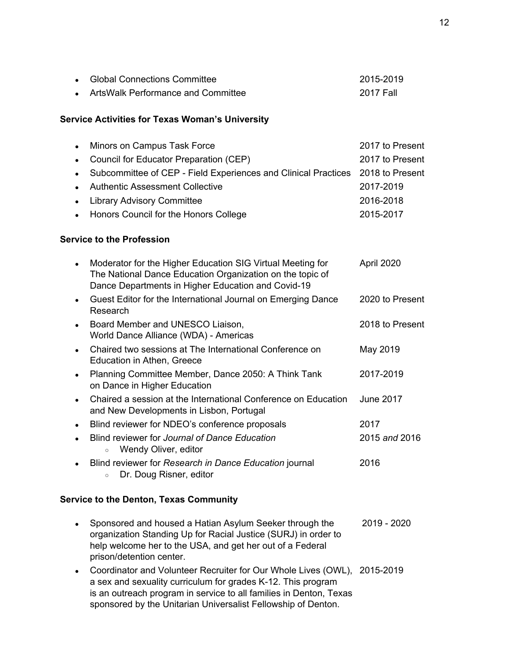| • Global Connections Committee       | 2015-2019  |
|--------------------------------------|------------|
| • ArtsWalk Performance and Committee | -2017 Fall |

### **Service Activities for Texas Woman's University**

| • Minors on Campus Task Force                                                    | 2017 to Present |
|----------------------------------------------------------------------------------|-----------------|
| • Council for Educator Preparation (CEP)                                         | 2017 to Present |
| • Subcommittee of CEP - Field Experiences and Clinical Practices 2018 to Present |                 |
| • Authentic Assessment Collective                                                | 2017-2019       |
| • Library Advisory Committee                                                     | 2016-2018       |
| • Honors Council for the Honors College                                          | 2015-2017       |

### **Service to the Profession**

| $\bullet$ | Moderator for the Higher Education SIG Virtual Meeting for<br>The National Dance Education Organization on the topic of<br>Dance Departments in Higher Education and Covid-19 | April 2020      |
|-----------|-------------------------------------------------------------------------------------------------------------------------------------------------------------------------------|-----------------|
|           | Guest Editor for the International Journal on Emerging Dance<br>Research                                                                                                      | 2020 to Present |
| $\bullet$ | Board Member and UNESCO Liaison,<br>World Dance Alliance (WDA) - Americas                                                                                                     | 2018 to Present |
|           | Chaired two sessions at The International Conference on<br>Education in Athen, Greece                                                                                         | May 2019        |
|           | Planning Committee Member, Dance 2050: A Think Tank<br>on Dance in Higher Education                                                                                           | 2017-2019       |
| $\bullet$ | Chaired a session at the International Conference on Education<br>and New Developments in Lisbon, Portugal                                                                    | June 2017       |
|           | Blind reviewer for NDEO's conference proposals                                                                                                                                | 2017            |
|           | Blind reviewer for Journal of Dance Education<br>Wendy Oliver, editor<br>$\circ$                                                                                              | 2015 and 2016   |
|           | Blind reviewer for Research in Dance Education journal<br>Dr. Doug Risner, editor<br>$\circ$                                                                                  | 2016            |

# **Service to the Denton, Texas Community**

- Sponsored and housed a Hatian Asylum Seeker through the 2019 2020 organization Standing Up for Racial Justice (SURJ) in order to help welcome her to the USA, and get her out of a Federal prison/detention center.
- Coordinator and Volunteer Recruiter for Our Whole Lives (OWL), 2015-2019 a sex and sexuality curriculum for grades K-12. This program is an outreach program in service to all families in Denton, Texas sponsored by the Unitarian Universalist Fellowship of Denton.